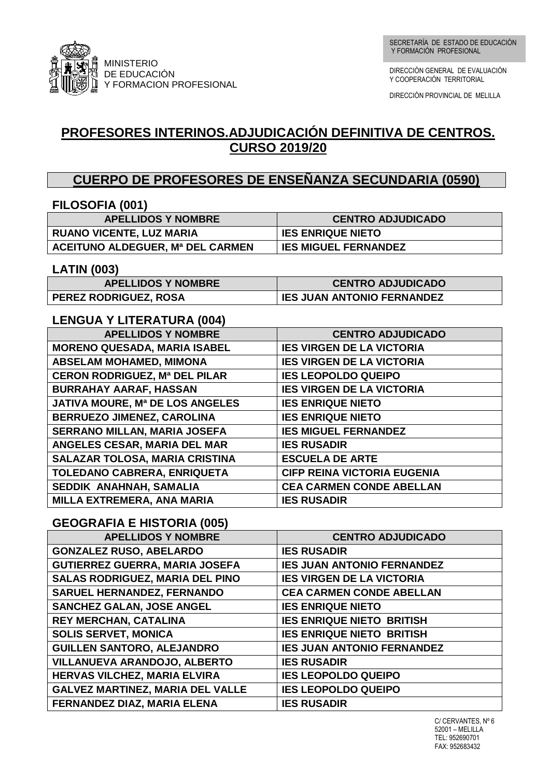

DIRECCIÓN GENERAL DE EVALUACIÓN Y COOPERACIÓN TERRITORIAL

DIRECCIÓN PROVINCIAL DE MELILLA

# **PROFESORES INTERINOS.ADJUDICACIÓN DEFINITIVA DE CENTROS. CURSO 2019/20**

## **CUERPO DE PROFESORES DE ENSEÑANZA SECUNDARIA (0590)**

| FILOSOFIA (001)                         |                                    |
|-----------------------------------------|------------------------------------|
| <b>APELLIDOS Y NOMBRE</b>               | <b>CENTRO ADJUDICADO</b>           |
| <b>RUANO VICENTE, LUZ MARIA</b>         | <b>IES ENRIQUE NIETO</b>           |
| <b>ACEITUNO ALDEGUER, Mª DEL CARMEN</b> | <b>IES MIGUEL FERNANDEZ</b>        |
| <b>LATIN (003)</b>                      |                                    |
| <b>APELLIDOS Y NOMBRE</b>               | <b>CENTRO ADJUDICADO</b>           |
| PEREZ RODRIGUEZ, ROSA                   | <b>IES JUAN ANTONIO FERNANDEZ</b>  |
| <b>LENGUA Y LITERATURA (004)</b>        |                                    |
| <b>APELLIDOS Y NOMBRE</b>               | <b>CENTRO ADJUDICADO</b>           |
| <b>MORENO QUESADA, MARIA ISABEL</b>     | <b>IES VIRGEN DE LA VICTORIA</b>   |
| <b>ABSELAM MOHAMED, MIMONA</b>          | <b>IES VIRGEN DE LA VICTORIA</b>   |
| <b>CERON RODRIGUEZ, Mª DEL PILAR</b>    | <b>IES LEOPOLDO QUEIPO</b>         |
| <b>BURRAHAY AARAF, HASSAN</b>           | <b>IES VIRGEN DE LA VICTORIA</b>   |
| JATIVA MOURE, Mª DE LOS ANGELES         | <b>IES ENRIQUE NIETO</b>           |
| BERRUEZO JIMENEZ, CAROLINA              | <b>IES ENRIQUE NIETO</b>           |
| <b>SERRANO MILLAN, MARIA JOSEFA</b>     | <b>IES MIGUEL FERNANDEZ</b>        |
| ANGELES CESAR, MARIA DEL MAR            | <b>IES RUSADIR</b>                 |
| SALAZAR TOLOSA, MARIA CRISTINA          | <b>ESCUELA DE ARTE</b>             |
| TOLEDANO CABRERA, ENRIQUETA             | <b>CIFP REINA VICTORIA EUGENIA</b> |
| SEDDIK ANAHNAH, SAMALIA                 | <b>CEA CARMEN CONDE ABELLAN</b>    |
| MILLA EXTREMERA, ANA MARIA              | <b>IES RUSADIR</b>                 |
| <b>GEOGRAFIA E HISTORIA (005)</b>       |                                    |
| <b>APELLIDOS Y NOMBRE</b>               | <b>CENTRO ADJUDICADO</b>           |
| <b>GONZALEZ RUSO, ABELARDO</b>          | <b>IES RUSADIR</b>                 |
| <b>GUTIERREZ GUERRA, MARIA JOSEFA</b>   | <b>IES JUAN ANTONIO FERNANDEZ</b>  |
| SALAS RODRIGUEZ, MARIA DEL PINO         | <b>IES VIRGEN DE LA VICTORIA</b>   |
| <b>SARUEL HERNANDEZ, FERNANDO</b>       | <b>CEA CARMEN CONDE ABELLAN</b>    |
| <b>SANCHEZ GALAN, JOSE ANGEL</b>        | <b>IES ENRIQUE NIETO</b>           |
| REY MERCHAN, CATALINA                   | <b>IES ENRIQUE NIETO BRITISH</b>   |
| <b>SOLIS SERVET, MONICA</b>             | <b>IES ENRIQUE NIETO BRITISH</b>   |
| <b>GUILLEN SANTORO, ALEJANDRO</b>       | <b>IES JUAN ANTONIO FERNANDEZ</b>  |
| VILLANUEVA ARANDOJO, ALBERTO            | <b>IES RUSADIR</b>                 |
| HERVAS VILCHEZ, MARIA ELVIRA            | <b>IES LEOPOLDO QUEIPO</b>         |
| <b>GALVEZ MARTINEZ, MARIA DEL VALLE</b> | <b>IES LEOPOLDO QUEIPO</b>         |
| FERNANDEZ DIAZ, MARIA ELENA             | <b>IES RUSADIR</b>                 |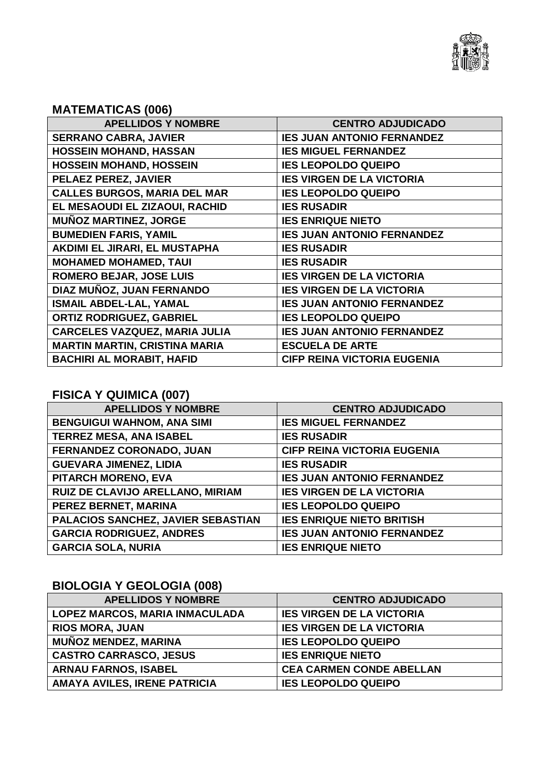

## **MATEMATICAS (006)**

| <b>APELLIDOS Y NOMBRE</b>            | <b>CENTRO ADJUDICADO</b>           |
|--------------------------------------|------------------------------------|
| <b>SERRANO CABRA, JAVIER</b>         | <b>IES JUAN ANTONIO FERNANDEZ</b>  |
| <b>HOSSEIN MOHAND, HASSAN</b>        | <b>IES MIGUEL FERNANDEZ</b>        |
| <b>HOSSEIN MOHAND, HOSSEIN</b>       | <b>IES LEOPOLDO QUEIPO</b>         |
| PELAEZ PEREZ, JAVIER                 | <b>IES VIRGEN DE LA VICTORIA</b>   |
| <b>CALLES BURGOS, MARIA DEL MAR</b>  | <b>IES LEOPOLDO QUEIPO</b>         |
| EL MESAOUDI EL ZIZAOUI, RACHID       | <b>IES RUSADIR</b>                 |
| <b>MUÑOZ MARTINEZ, JORGE</b>         | <b>IES ENRIQUE NIETO</b>           |
| <b>BUMEDIEN FARIS, YAMIL</b>         | <b>IES JUAN ANTONIO FERNANDEZ</b>  |
| AKDIMI EL JIRARI, EL MUSTAPHA        | <b>IES RUSADIR</b>                 |
| <b>MOHAMED MOHAMED, TAUI</b>         | <b>IES RUSADIR</b>                 |
| <b>ROMERO BEJAR, JOSE LUIS</b>       | <b>IES VIRGEN DE LA VICTORIA</b>   |
| DIAZ MUÑOZ, JUAN FERNANDO            | <b>IES VIRGEN DE LA VICTORIA</b>   |
| <b>ISMAIL ABDEL-LAL, YAMAL</b>       | <b>IES JUAN ANTONIO FERNANDEZ</b>  |
| <b>ORTIZ RODRIGUEZ, GABRIEL</b>      | <b>IES LEOPOLDO QUEIPO</b>         |
| <b>CARCELES VAZQUEZ, MARIA JULIA</b> | <b>IES JUAN ANTONIO FERNANDEZ</b>  |
| <b>MARTIN MARTIN, CRISTINA MARIA</b> | <b>ESCUELA DE ARTE</b>             |
| <b>BACHIRI AL MORABIT, HAFID</b>     | <b>CIFP REINA VICTORIA EUGENIA</b> |
|                                      |                                    |

## **FISICA Y QUIMICA (007)**

| <b>APELLIDOS Y NOMBRE</b>          | <b>CENTRO ADJUDICADO</b>           |
|------------------------------------|------------------------------------|
| <b>BENGUIGUI WAHNOM, ANA SIMI</b>  | <b>IES MIGUEL FERNANDEZ</b>        |
| <b>TERREZ MESA, ANA ISABEL</b>     | <b>IES RUSADIR</b>                 |
| FERNANDEZ CORONADO, JUAN           | <b>CIFP REINA VICTORIA EUGENIA</b> |
| <b>GUEVARA JIMENEZ, LIDIA</b>      | <b>IES RUSADIR</b>                 |
| PITARCH MORENO, EVA                | <b>IES JUAN ANTONIO FERNANDEZ</b>  |
| RUIZ DE CLAVIJO ARELLANO, MIRIAM   | <b>IES VIRGEN DE LA VICTORIA</b>   |
| PEREZ BERNET, MARINA               | <b>IES LEOPOLDO QUEIPO</b>         |
| PALACIOS SANCHEZ, JAVIER SEBASTIAN | <b>IES ENRIQUE NIETO BRITISH</b>   |
| <b>GARCIA RODRIGUEZ, ANDRES</b>    | <b>IES JUAN ANTONIO FERNANDEZ</b>  |
| <b>GARCIA SOLA, NURIA</b>          | <b>IES ENRIQUE NIETO</b>           |

# **BIOLOGIA Y GEOLOGIA (008)**

| <b>APELLIDOS Y NOMBRE</b>      | <b>CENTRO ADJUDICADO</b>         |
|--------------------------------|----------------------------------|
| LOPEZ MARCOS, MARIA INMACULADA | <b>IES VIRGEN DE LA VICTORIA</b> |
| <b>RIOS MORA, JUAN</b>         | <b>IES VIRGEN DE LA VICTORIA</b> |
| <b>MUÑOZ MENDEZ, MARINA</b>    | <b>IES LEOPOLDO QUEIPO</b>       |
| <b>CASTRO CARRASCO, JESUS</b>  | <b>IES ENRIQUE NIETO</b>         |
| <b>ARNAU FARNOS, ISABEL</b>    | <b>CEA CARMEN CONDE ABELLAN</b>  |
| AMAYA AVILES, IRENE PATRICIA   | <b>IES LEOPOLDO QUEIPO</b>       |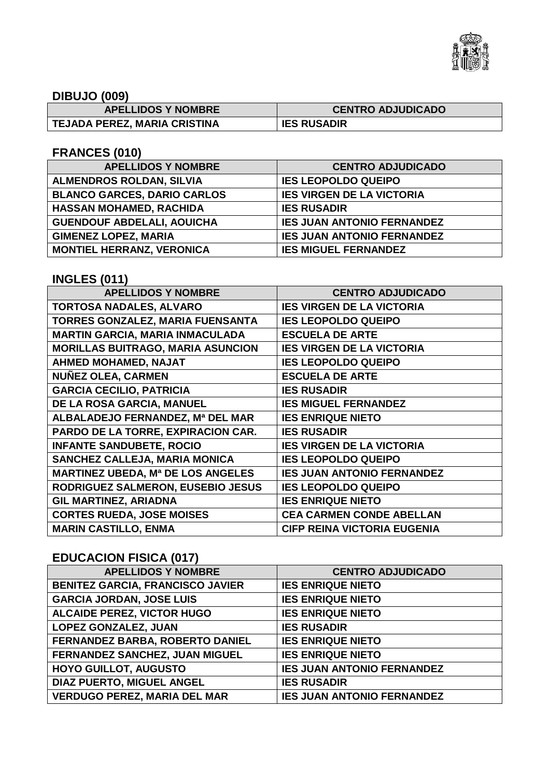

## **DIBUJO (009)**

| <b>APELLIDOS Y NOMBRE</b>    | <b>CENTRO ADJUDICADO</b> |
|------------------------------|--------------------------|
| TEJADA PEREZ, MARIA CRISTINA | <b>IES RUSADIR</b>       |

### **FRANCES (010)**

| <b>APELLIDOS Y NOMBRE</b>          | <b>CENTRO ADJUDICADO</b>          |
|------------------------------------|-----------------------------------|
| <b>ALMENDROS ROLDAN, SILVIA</b>    | <b>IES LEOPOLDO QUEIPO</b>        |
| <b>BLANCO GARCES, DARIO CARLOS</b> | <b>IES VIRGEN DE LA VICTORIA</b>  |
| <b>HASSAN MOHAMED, RACHIDA</b>     | <b>IES RUSADIR</b>                |
| <b>GUENDOUF ABDELALI, AOUICHA</b>  | <b>IES JUAN ANTONIO FERNANDEZ</b> |
| <b>GIMENEZ LOPEZ, MARIA</b>        | <b>IES JUAN ANTONIO FERNANDEZ</b> |
| <b>MONTIEL HERRANZ, VERONICA</b>   | <b>IES MIGUEL FERNANDEZ</b>       |

### **INGLES (011)**

| <b>APELLIDOS Y NOMBRE</b>                | <b>CENTRO ADJUDICADO</b>           |
|------------------------------------------|------------------------------------|
| <b>TORTOSA NADALES, ALVARO</b>           | <b>IES VIRGEN DE LA VICTORIA</b>   |
| TORRES GONZALEZ, MARIA FUENSANTA         | <b>IES LEOPOLDO QUEIPO</b>         |
| <b>MARTIN GARCIA, MARIA INMACULADA</b>   | <b>ESCUELA DE ARTE</b>             |
| <b>MORILLAS BUITRAGO, MARIA ASUNCION</b> | <b>IES VIRGEN DE LA VICTORIA</b>   |
| <b>AHMED MOHAMED, NAJAT</b>              | <b>IES LEOPOLDO QUEIPO</b>         |
| <b>NUÑEZ OLEA, CARMEN</b>                | <b>ESCUELA DE ARTE</b>             |
| <b>GARCIA CECILIO, PATRICIA</b>          | <b>IES RUSADIR</b>                 |
| DE LA ROSA GARCIA, MANUEL                | <b>IES MIGUEL FERNANDEZ</b>        |
| ALBALADEJO FERNANDEZ, Mª DEL MAR         | <b>IES ENRIQUE NIETO</b>           |
| PARDO DE LA TORRE, EXPIRACION CAR.       | <b>IES RUSADIR</b>                 |
| <b>INFANTE SANDUBETE, ROCIO</b>          | <b>IES VIRGEN DE LA VICTORIA</b>   |
| SANCHEZ CALLEJA, MARIA MONICA            | <b>IES LEOPOLDO QUEIPO</b>         |
| <b>MARTINEZ UBEDA, Mª DE LOS ANGELES</b> | <b>IES JUAN ANTONIO FERNANDEZ</b>  |
| RODRIGUEZ SALMERON, EUSEBIO JESUS        | <b>IES LEOPOLDO QUEIPO</b>         |
| <b>GIL MARTINEZ, ARIADNA</b>             | <b>IES ENRIQUE NIETO</b>           |
| <b>CORTES RUEDA, JOSE MOISES</b>         | <b>CEA CARMEN CONDE ABELLAN</b>    |
| <b>MARIN CASTILLO, ENMA</b>              | <b>CIFP REINA VICTORIA EUGENIA</b> |

## **EDUCACION FISICA (017)**

| <b>APELLIDOS Y NOMBRE</b>               | <b>CENTRO ADJUDICADO</b>          |
|-----------------------------------------|-----------------------------------|
| <b>BENITEZ GARCIA, FRANCISCO JAVIER</b> | <b>IES ENRIQUE NIETO</b>          |
| <b>GARCIA JORDAN, JOSE LUIS</b>         | <b>IES ENRIQUE NIETO</b>          |
| <b>ALCAIDE PEREZ, VICTOR HUGO</b>       | <b>IES ENRIQUE NIETO</b>          |
| <b>LOPEZ GONZALEZ, JUAN</b>             | <b>IES RUSADIR</b>                |
| FERNANDEZ BARBA, ROBERTO DANIEL         | <b>IES ENRIQUE NIETO</b>          |
| FERNANDEZ SANCHEZ, JUAN MIGUEL          | <b>IES ENRIQUE NIETO</b>          |
| <b>HOYO GUILLOT, AUGUSTO</b>            | <b>IES JUAN ANTONIO FERNANDEZ</b> |
| <b>DIAZ PUERTO, MIGUEL ANGEL</b>        | <b>IES RUSADIR</b>                |
| <b>VERDUGO PEREZ, MARIA DEL MAR</b>     | <b>IES JUAN ANTONIO FERNANDEZ</b> |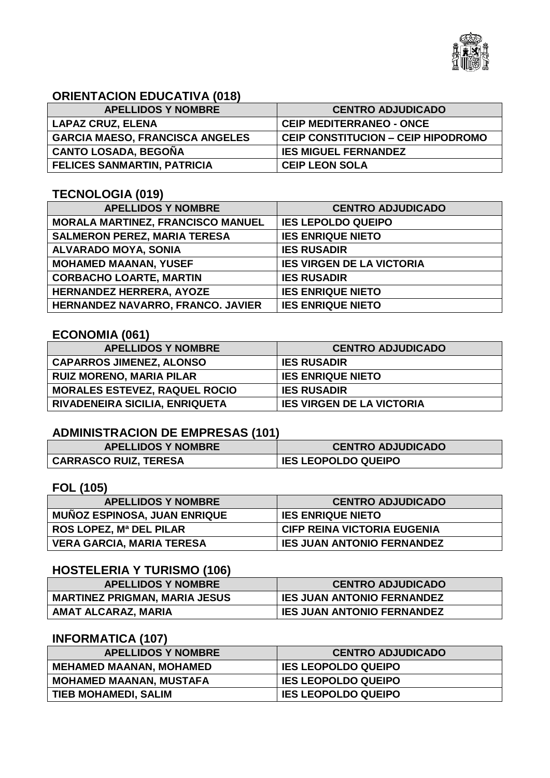

## **ORIENTACION EDUCATIVA (018)**

| <b>APELLIDOS Y NOMBRE</b>              | <b>CENTRO ADJUDICADO</b>                  |
|----------------------------------------|-------------------------------------------|
| <b>LAPAZ CRUZ, ELENA</b>               | <b>CEIP MEDITERRANEO - ONCE</b>           |
| <b>GARCIA MAESO, FRANCISCA ANGELES</b> | <b>CEIP CONSTITUCION - CEIP HIPODROMO</b> |
| <b>CANTO LOSADA, BEGOÑA</b>            | <b>IES MIGUEL FERNANDEZ</b>               |
| <b>FELICES SANMARTIN, PATRICIA</b>     | <b>CEIP LEON SOLA</b>                     |

#### **TECNOLOGIA (019)**

| <b>APELLIDOS Y NOMBRE</b>                | <b>CENTRO ADJUDICADO</b>         |
|------------------------------------------|----------------------------------|
| <b>MORALA MARTINEZ, FRANCISCO MANUEL</b> | <b>IES LEPOLDO QUEIPO</b>        |
| <b>SALMERON PEREZ, MARIA TERESA</b>      | <b>IES ENRIQUE NIETO</b>         |
| ALVARADO MOYA, SONIA                     | <b>IES RUSADIR</b>               |
| <b>MOHAMED MAANAN, YUSEF</b>             | <b>IES VIRGEN DE LA VICTORIA</b> |
| <b>CORBACHO LOARTE, MARTIN</b>           | <b>IES RUSADIR</b>               |
| <b>HERNANDEZ HERRERA, AYOZE</b>          | <b>IES ENRIQUE NIETO</b>         |
| HERNANDEZ NAVARRO, FRANCO. JAVIER        | <b>IES ENRIQUE NIETO</b>         |

## **ECONOMIA (061)**

| <b>APELLIDOS Y NOMBRE</b>            | <b>CENTRO ADJUDICADO</b>         |
|--------------------------------------|----------------------------------|
| <b>CAPARROS JIMENEZ, ALONSO</b>      | <b>IES RUSADIR</b>               |
| <b>RUIZ MORENO, MARIA PILAR</b>      | <b>IES ENRIQUE NIETO</b>         |
| <b>MORALES ESTEVEZ, RAQUEL ROCIO</b> | <b>IES RUSADIR</b>               |
| RIVADENEIRA SICILIA, ENRIQUETA       | <b>IES VIRGEN DE LA VICTORIA</b> |

## **ADMINISTRACION DE EMPRESAS (101)**

| <b>APELLIDOS Y NOMBRE</b>    | <b>CENTRO ADJUDICADO</b>   |
|------------------------------|----------------------------|
| <b>CARRASCO RUIZ, TERESA</b> | <b>IES LEOPOLDO QUEIPO</b> |

## **FOL (105)**

| <b>APELLIDOS Y NOMBRE</b>           | <b>CENTRO ADJUDICADO</b>           |
|-------------------------------------|------------------------------------|
| <b>MUÑOZ ESPINOSA, JUAN ENRIQUE</b> | <b>IES ENRIQUE NIETO</b>           |
| <b>ROS LOPEZ, Mª DEL PILAR</b>      | <b>CIFP REINA VICTORIA EUGENIA</b> |
| <b>VERA GARCIA, MARIA TERESA</b>    | <b>IES JUAN ANTONIO FERNANDEZ</b>  |

### **HOSTELERIA Y TURISMO (106)**

| <b>APELLIDOS Y NOMBRE</b>            | <b>CENTRO ADJUDICADO</b>          |
|--------------------------------------|-----------------------------------|
| <b>MARTINEZ PRIGMAN, MARIA JESUS</b> | IES JUAN ANTONIO FERNANDEZ        |
| AMAT ALCARAZ, MARIA                  | <b>IES JUAN ANTONIO FERNANDEZ</b> |

## **INFORMATICA (107)**

| <b>APELLIDOS Y NOMBRE</b>      | <b>CENTRO ADJUDICADO</b>   |
|--------------------------------|----------------------------|
| <b>MEHAMED MAANAN, MOHAMED</b> | <b>IES LEOPOLDO QUEIPO</b> |
| <b>MOHAMED MAANAN, MUSTAFA</b> | <b>IES LEOPOLDO QUEIPO</b> |
| <b>TIEB MOHAMEDI, SALIM</b>    | <b>IES LEOPOLDO QUEIPO</b> |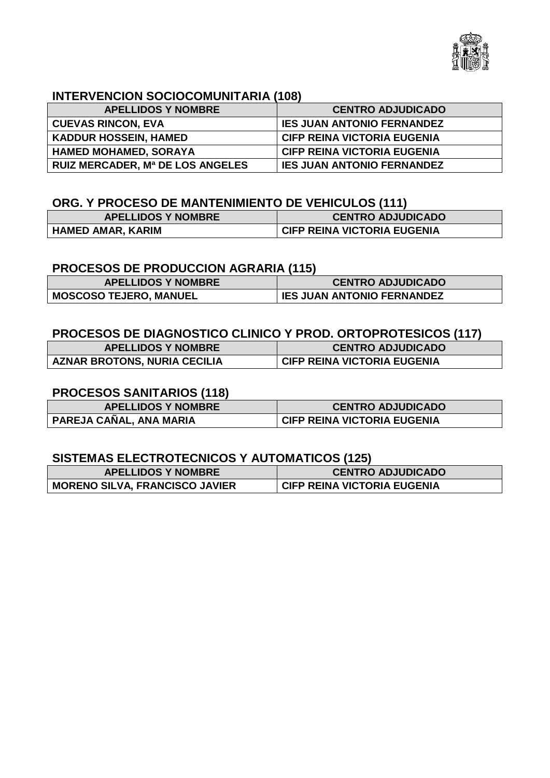

### **INTERVENCION SOCIOCOMUNITARIA (108)**

| <b>APELLIDOS Y NOMBRE</b>               | <b>CENTRO ADJUDICADO</b>           |
|-----------------------------------------|------------------------------------|
| <b>CUEVAS RINCON, EVA</b>               | <b>IES JUAN ANTONIO FERNANDEZ</b>  |
| <b>KADDUR HOSSEIN, HAMED</b>            | <b>CIFP REINA VICTORIA EUGENIA</b> |
| <b>HAMED MOHAMED, SORAYA</b>            | <b>CIFP REINA VICTORIA EUGENIA</b> |
| <b>RUIZ MERCADER, Mª DE LOS ANGELES</b> | <b>IES JUAN ANTONIO FERNANDEZ</b>  |

## **ORG. Y PROCESO DE MANTENIMIENTO DE VEHICULOS (111)**

| <b>APELLIDOS Y NOMBRE</b> | <b>CENTRO ADJUDICADO</b>           |
|---------------------------|------------------------------------|
| HAMED AMAR, KARIM         | <b>CIFP REINA VICTORIA EUGENIA</b> |

#### **PROCESOS DE PRODUCCION AGRARIA (115)**

| <b>APELLIDOS Y NOMBRE</b>     | <b>CENTRO ADJUDICADO</b>          |
|-------------------------------|-----------------------------------|
| <b>MOSCOSO TEJERO, MANUEL</b> | <b>IES JUAN ANTONIO FERNANDEZ</b> |

#### **PROCESOS DE DIAGNOSTICO CLINICO Y PROD. ORTOPROTESICOS (117)**

| <b>APELLIDOS Y NOMBRE</b>           | <b>CENTRO ADJUDICADO</b>           |
|-------------------------------------|------------------------------------|
| <b>AZNAR BROTONS, NURIA CECILIA</b> | <b>CIFP REINA VICTORIA EUGENIA</b> |

## **PROCESOS SANITARIOS (118)**

| <b>APELLIDOS Y NOMBRE</b> | <b>CENTRO ADJUDICADO</b>           |
|---------------------------|------------------------------------|
| PAREJA CAÑAL, ANA MARIA   | <b>CIFP REINA VICTORIA EUGENIA</b> |

#### **SISTEMAS ELECTROTECNICOS Y AUTOMATICOS (125)**

| <b>APELLIDOS Y NOMBRE</b>             | <b>CENTRO ADJUDICADO</b>           |
|---------------------------------------|------------------------------------|
| <b>MORENO SILVA, FRANCISCO JAVIER</b> | <b>CIFP REINA VICTORIA EUGENIA</b> |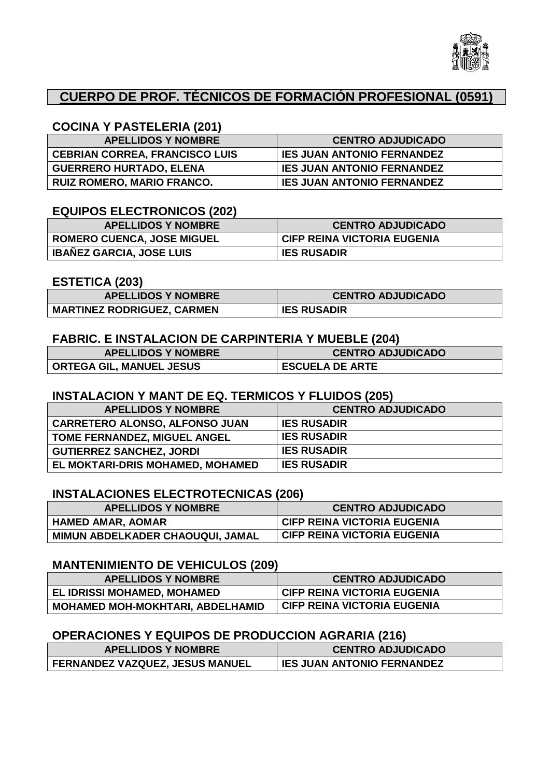

## **CUERPO DE PROF. TÉCNICOS DE FORMACIÓN PROFESIONAL (0591)**

### **COCINA Y PASTELERIA (201)**

| <b>APELLIDOS Y NOMBRE</b>             | <b>CENTRO ADJUDICADO</b>          |
|---------------------------------------|-----------------------------------|
| <b>CEBRIAN CORREA, FRANCISCO LUIS</b> | <b>IES JUAN ANTONIO FERNANDEZ</b> |
| <b>GUERRERO HURTADO, ELENA</b>        | <b>IES JUAN ANTONIO FERNANDEZ</b> |
| <b>RUIZ ROMERO, MARIO FRANCO.</b>     | <b>IES JUAN ANTONIO FERNANDEZ</b> |

#### **EQUIPOS ELECTRONICOS (202)**

| <b>APELLIDOS Y NOMBRE</b>         | <b>CENTRO ADJUDICADO</b>           |
|-----------------------------------|------------------------------------|
| <b>ROMERO CUENCA, JOSE MIGUEL</b> | <b>CIFP REINA VICTORIA EUGENIA</b> |
| <b>IBAÑEZ GARCIA, JOSE LUIS</b>   | <b>IES RUSADIR</b>                 |

#### **ESTETICA (203)**

| <b>APELLIDOS Y NOMBRE</b>         | <b>CENTRO ADJUDICADO</b> |
|-----------------------------------|--------------------------|
| <b>MARTINEZ RODRIGUEZ, CARMEN</b> | <b>IES RUSADIR</b>       |

#### **FABRIC. E INSTALACION DE CARPINTERIA Y MUEBLE (204)**

| <b>APELLIDOS Y NOMBRE</b>       | <b>CENTRO ADJUDICADO</b> |
|---------------------------------|--------------------------|
| <b>ORTEGA GIL, MANUEL JESUS</b> | <b>ESCUELA DE ARTE</b>   |

#### **INSTALACION Y MANT DE EQ. TERMICOS Y FLUIDOS (205)**

| <b>APELLIDOS Y NOMBRE</b>             | <b>CENTRO ADJUDICADO</b> |
|---------------------------------------|--------------------------|
| <b>CARRETERO ALONSO, ALFONSO JUAN</b> | <b>IES RUSADIR</b>       |
| <b>TOME FERNANDEZ, MIGUEL ANGEL</b>   | <b>IES RUSADIR</b>       |
| <b>GUTIERREZ SANCHEZ, JORDI</b>       | <b>IES RUSADIR</b>       |
| EL MOKTARI-DRIS MOHAMED, MOHAMED      | <b>IES RUSADIR</b>       |

#### **INSTALACIONES ELECTROTECNICAS (206)**

| <b>APELLIDOS Y NOMBRE</b>        | <b>CENTRO ADJUDICADO</b>           |
|----------------------------------|------------------------------------|
| <b>HAMED AMAR, AOMAR</b>         | <b>CIFP REINA VICTORIA EUGENIA</b> |
| MIMUN ABDELKADER CHAOUQUI, JAMAL | <b>CIFP REINA VICTORIA EUGENIA</b> |

#### **MANTENIMIENTO DE VEHICULOS (209)**

| <b>APELLIDOS Y NOMBRE</b>               | <b>CENTRO ADJUDICADO</b>                 |
|-----------------------------------------|------------------------------------------|
| EL IDRISSI MOHAMED, MOHAMED             | <sup>I</sup> CIFP REINA VICTORIA EUGENIA |
| <b>MOHAMED MOH-MOKHTARI, ABDELHAMID</b> | <b>CIFP REINA VICTORIA EUGENIA</b>       |

### **OPERACIONES Y EQUIPOS DE PRODUCCION AGRARIA (216)**

| <b>APELLIDOS Y NOMBRE</b>       | <b>CENTRO ADJUDICADO</b>          |
|---------------------------------|-----------------------------------|
| FERNANDEZ VAZQUEZ, JESUS MANUEL | <b>IES JUAN ANTONIO FERNANDEZ</b> |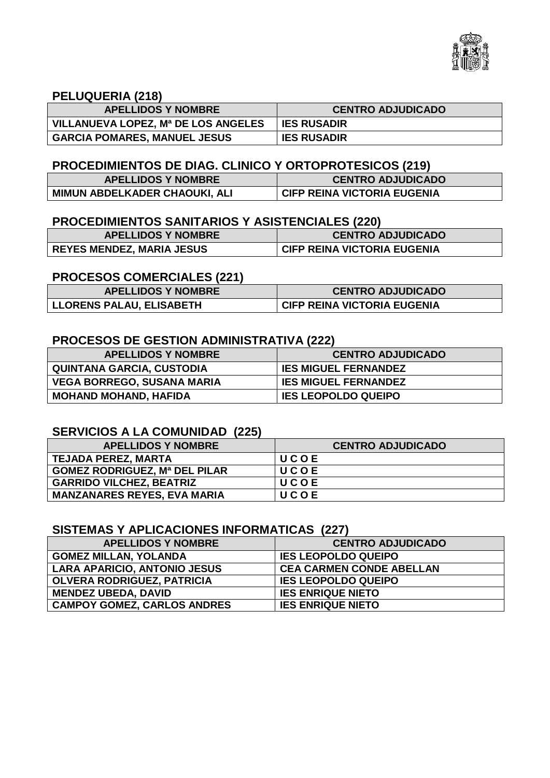

#### **PELUQUERIA (218)**

| <b>APELLIDOS Y NOMBRE</b>           | <b>CENTRO ADJUDICADO</b> |
|-------------------------------------|--------------------------|
| VILLANUEVA LOPEZ, Mª DE LOS ANGELES | <b>IES RUSADIR</b>       |
| <b>GARCIA POMARES, MANUEL JESUS</b> | <b>IES RUSADIR</b>       |

## **PROCEDIMIENTOS DE DIAG. CLINICO Y ORTOPROTESICOS (219)**

| <b>APELLIDOS Y NOMBRE</b>     | <b>CENTRO ADJUDICADO</b>           |
|-------------------------------|------------------------------------|
| MIMUN ABDELKADER CHAOUKI, ALI | <b>CIFP REINA VICTORIA EUGENIA</b> |

### **PROCEDIMIENTOS SANITARIOS Y ASISTENCIALES (220)**

| <b>APELLIDOS Y NOMBRE</b>        | <b>CENTRO ADJUDICADO</b>           |
|----------------------------------|------------------------------------|
| <b>REYES MENDEZ, MARIA JESUS</b> | <b>CIFP REINA VICTORIA EUGENIA</b> |

### **PROCESOS COMERCIALES (221)**

| <b>APELLIDOS Y NOMBRE</b>       | <b>CENTRO ADJUDICADO</b>           |
|---------------------------------|------------------------------------|
| <b>LLORENS PALAU, ELISABETH</b> | <b>CIFP REINA VICTORIA EUGENIA</b> |

#### **PROCESOS DE GESTION ADMINISTRATIVA (222)**

| <b>APELLIDOS Y NOMBRE</b>         | <b>CENTRO ADJUDICADO</b>    |
|-----------------------------------|-----------------------------|
| <b>QUINTANA GARCIA, CUSTODIA</b>  | <b>IES MIGUEL FERNANDEZ</b> |
| <b>VEGA BORREGO, SUSANA MARIA</b> | <b>IES MIGUEL FERNANDEZ</b> |
| <b>MOHAND MOHAND, HAFIDA</b>      | <b>IES LEOPOLDO QUEIPO</b>  |

#### **SERVICIOS A LA COMUNIDAD (225)**

| <b>APELLIDOS Y NOMBRE</b>            | <b>CENTRO ADJUDICADO</b> |
|--------------------------------------|--------------------------|
| <b>TEJADA PEREZ, MARTA</b>           | <b>UCOE</b>              |
| <b>GOMEZ RODRIGUEZ, Mª DEL PILAR</b> | UCOE                     |
| <b>GARRIDO VILCHEZ, BEATRIZ</b>      | UCOE                     |
| <b>MANZANARES REYES, EVA MARIA</b>   | UCOE                     |

## **SISTEMAS Y APLICACIONES INFORMATICAS (227)**

| <b>APELLIDOS Y NOMBRE</b>           | <b>CENTRO ADJUDICADO</b>        |
|-------------------------------------|---------------------------------|
| <b>GOMEZ MILLAN, YOLANDA</b>        | <b>IES LEOPOLDO QUEIPO</b>      |
| <b>LARA APARICIO, ANTONIO JESUS</b> | <b>CEA CARMEN CONDE ABELLAN</b> |
| <b>OLVERA RODRIGUEZ, PATRICIA</b>   | <b>IES LEOPOLDO QUEIPO</b>      |
| <b>MENDEZ UBEDA, DAVID</b>          | <b>IES ENRIQUE NIETO</b>        |
| <b>CAMPOY GOMEZ, CARLOS ANDRES</b>  | <b>IES ENRIQUE NIETO</b>        |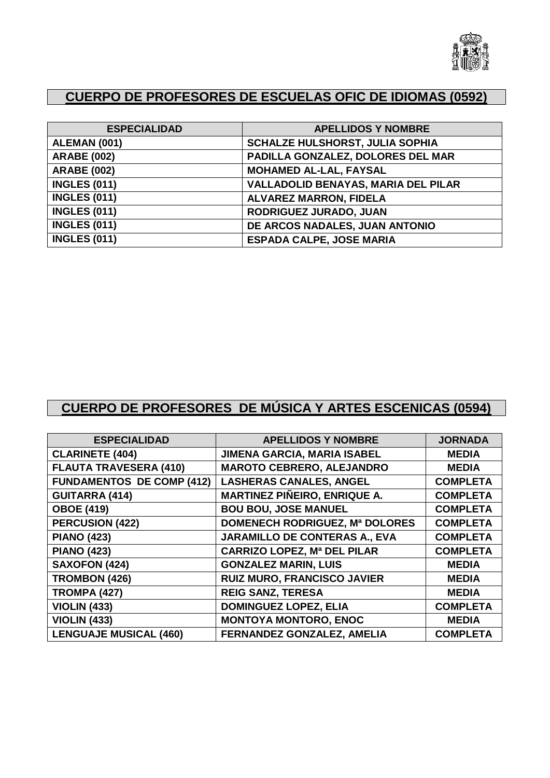

# **CUERPO DE PROFESORES DE ESCUELAS OFIC DE IDIOMAS (0592)**

| <b>ESPECIALIDAD</b> | <b>APELLIDOS Y NOMBRE</b>                  |
|---------------------|--------------------------------------------|
| ALEMAN (001)        | <b>SCHALZE HULSHORST, JULIA SOPHIA</b>     |
| <b>ARABE (002)</b>  | PADILLA GONZALEZ, DOLORES DEL MAR          |
| <b>ARABE (002)</b>  | <b>MOHAMED AL-LAL, FAYSAL</b>              |
| <b>INGLES (011)</b> | <b>VALLADOLID BENAYAS, MARIA DEL PILAR</b> |
| <b>INGLES (011)</b> | <b>ALVAREZ MARRON, FIDELA</b>              |
| <b>INGLES (011)</b> | RODRIGUEZ JURADO, JUAN                     |
| <b>INGLES (011)</b> | DE ARCOS NADALES, JUAN ANTONIO             |
| <b>INGLES (011)</b> | <b>ESPADA CALPE, JOSE MARIA</b>            |

# **CUERPO DE PROFESORES DE MÚSICA Y ARTES ESCENICAS (0594)**

| <b>ESPECIALIDAD</b>              | <b>APELLIDOS Y NOMBRE</b>             | <b>JORNADA</b>  |
|----------------------------------|---------------------------------------|-----------------|
| <b>CLARINETE (404)</b>           | JIMENA GARCIA, MARIA ISABEL           | <b>MEDIA</b>    |
| <b>FLAUTA TRAVESERA (410)</b>    | <b>MAROTO CEBRERO, ALEJANDRO</b>      | <b>MEDIA</b>    |
| <b>FUNDAMENTOS DE COMP (412)</b> | <b>LASHERAS CANALES, ANGEL</b>        | <b>COMPLETA</b> |
| <b>GUITARRA (414)</b>            | <b>MARTINEZ PIÑEIRO, ENRIQUE A.</b>   | <b>COMPLETA</b> |
| <b>OBOE (419)</b>                | <b>BOU BOU, JOSE MANUEL</b>           | <b>COMPLETA</b> |
| <b>PERCUSION (422)</b>           | <b>DOMENECH RODRIGUEZ, Mª DOLORES</b> | <b>COMPLETA</b> |
| <b>PIANO (423)</b>               | <b>JARAMILLO DE CONTERAS A., EVA</b>  | <b>COMPLETA</b> |
| <b>PIANO (423)</b>               | <b>CARRIZO LOPEZ, Mª DEL PILAR</b>    | <b>COMPLETA</b> |
| <b>SAXOFON (424)</b>             | <b>GONZALEZ MARIN, LUIS</b>           | <b>MEDIA</b>    |
| <b>TROMBON (426)</b>             | <b>RUIZ MURO, FRANCISCO JAVIER</b>    | <b>MEDIA</b>    |
| <b>TROMPA (427)</b>              | <b>REIG SANZ, TERESA</b>              | <b>MEDIA</b>    |
| <b>VIOLIN (433)</b>              | <b>DOMINGUEZ LOPEZ, ELIA</b>          | <b>COMPLETA</b> |
| <b>VIOLIN (433)</b>              | <b>MONTOYA MONTORO, ENOC</b>          | <b>MEDIA</b>    |
| <b>LENGUAJE MUSICAL (460)</b>    | <b>FERNANDEZ GONZALEZ, AMELIA</b>     | <b>COMPLETA</b> |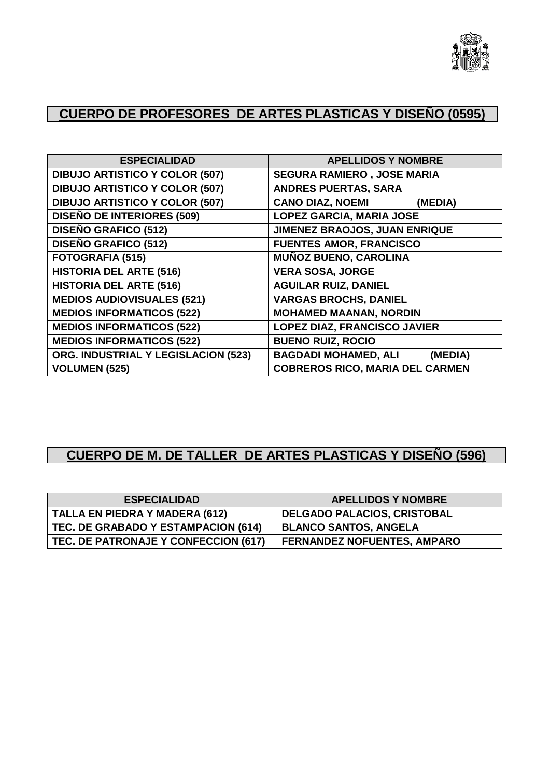

# **CUERPO DE PROFESORES DE ARTES PLASTICAS Y DISEÑO (0595)**

| <b>ESPECIALIDAD</b>                   | <b>APELLIDOS Y NOMBRE</b>              |
|---------------------------------------|----------------------------------------|
| <b>DIBUJO ARTISTICO Y COLOR (507)</b> | <b>SEGURA RAMIERO, JOSE MARIA</b>      |
| <b>DIBUJO ARTISTICO Y COLOR (507)</b> | <b>ANDRES PUERTAS, SARA</b>            |
| <b>DIBUJO ARTISTICO Y COLOR (507)</b> | <b>CANO DIAZ, NOEMI</b><br>(MEDIA)     |
| <b>DISEÑO DE INTERIORES (509)</b>     | <b>LOPEZ GARCIA, MARIA JOSE</b>        |
| <b>DISEÑO GRAFICO (512)</b>           | JIMENEZ BRAOJOS, JUAN ENRIQUE          |
| <b>DISEÑO GRAFICO (512)</b>           | <b>FUENTES AMOR, FRANCISCO</b>         |
| <b>FOTOGRAFIA (515)</b>               | <b>MUÑOZ BUENO, CAROLINA</b>           |
| <b>HISTORIA DEL ARTE (516)</b>        | <b>VERA SOSA, JORGE</b>                |
| <b>HISTORIA DEL ARTE (516)</b>        | <b>AGUILAR RUIZ, DANIEL</b>            |
| <b>MEDIOS AUDIOVISUALES (521)</b>     | <b>VARGAS BROCHS, DANIEL</b>           |
| <b>MEDIOS INFORMATICOS (522)</b>      | <b>MOHAMED MAANAN, NORDIN</b>          |
| <b>MEDIOS INFORMATICOS (522)</b>      | <b>LOPEZ DIAZ, FRANCISCO JAVIER</b>    |
| <b>MEDIOS INFORMATICOS (522)</b>      | <b>BUENO RUIZ, ROCIO</b>               |
| ORG. INDUSTRIAL Y LEGISLACION (523)   | <b>BAGDADI MOHAMED, ALI</b><br>(MEDIA) |
| <b>VOLUMEN (525)</b>                  | <b>COBREROS RICO, MARIA DEL CARMEN</b> |

# **CUERPO DE M. DE TALLER DE ARTES PLASTICAS Y DISEÑO (596)**

| <b>ESPECIALIDAD</b>                   | <b>APELLIDOS Y NOMBRE</b>          |
|---------------------------------------|------------------------------------|
| <b>TALLA EN PIEDRA Y MADERA (612)</b> | <b>DELGADO PALACIOS, CRISTOBAL</b> |
| TEC. DE GRABADO Y ESTAMPACION (614)   | <b>BLANCO SANTOS, ANGELA</b>       |
| TEC. DE PATRONAJE Y CONFECCION (617)  | <b>FERNANDEZ NOFUENTES, AMPARO</b> |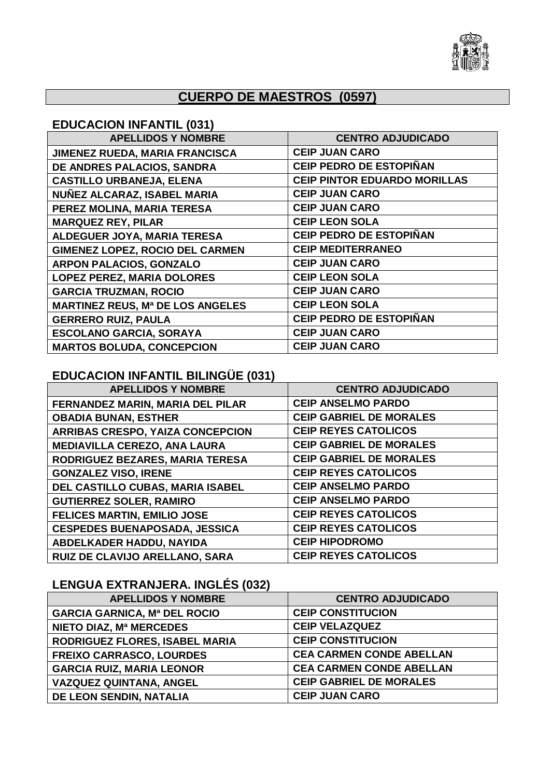

# **CUERPO DE MAESTROS (0597)**

### **EDUCACION INFANTIL (031)**

| <b>APELLIDOS Y NOMBRE</b>               | <b>CENTRO ADJUDICADO</b>            |
|-----------------------------------------|-------------------------------------|
| <b>JIMENEZ RUEDA, MARIA FRANCISCA</b>   | <b>CEIP JUAN CARO</b>               |
| DE ANDRES PALACIOS, SANDRA              | <b>CEIP PEDRO DE ESTOPIÑAN</b>      |
| <b>CASTILLO URBANEJA, ELENA</b>         | <b>CEIP PINTOR EDUARDO MORILLAS</b> |
| NUÑEZ ALCARAZ, ISABEL MARIA             | <b>CEIP JUAN CARO</b>               |
| PEREZ MOLINA, MARIA TERESA              | <b>CEIP JUAN CARO</b>               |
| <b>MARQUEZ REY, PILAR</b>               | <b>CEIP LEON SOLA</b>               |
| ALDEGUER JOYA, MARIA TERESA             | <b>CEIP PEDRO DE ESTOPIÑAN</b>      |
| <b>GIMENEZ LOPEZ, ROCIO DEL CARMEN</b>  | <b>CEIP MEDITERRANEO</b>            |
| <b>ARPON PALACIOS, GONZALO</b>          | <b>CEIP JUAN CARO</b>               |
| <b>LOPEZ PEREZ, MARIA DOLORES</b>       | <b>CEIP LEON SOLA</b>               |
| <b>GARCIA TRUZMAN, ROCIO</b>            | <b>CEIP JUAN CARO</b>               |
| <b>MARTINEZ REUS, Mª DE LOS ANGELES</b> | <b>CEIP LEON SOLA</b>               |
| <b>GERRERO RUIZ, PAULA</b>              | <b>CEIP PEDRO DE ESTOPIÑAN</b>      |
| <b>ESCOLANO GARCIA, SORAYA</b>          | <b>CEIP JUAN CARO</b>               |
| <b>MARTOS BOLUDA, CONCEPCION</b>        | <b>CEIP JUAN CARO</b>               |

# **EDUCACION INFANTIL BILINGÜE (031)**

| <b>APELLIDOS Y NOMBRE</b>               | <b>CENTRO ADJUDICADO</b>       |
|-----------------------------------------|--------------------------------|
| FERNANDEZ MARIN, MARIA DEL PILAR        | <b>CEIP ANSELMO PARDO</b>      |
| <b>OBADIA BUNAN, ESTHER</b>             | <b>CEIP GABRIEL DE MORALES</b> |
| <b>ARRIBAS CRESPO, YAIZA CONCEPCION</b> | <b>CEIP REYES CATOLICOS</b>    |
| <b>MEDIAVILLA CEREZO, ANA LAURA</b>     | <b>CEIP GABRIEL DE MORALES</b> |
| RODRIGUEZ BEZARES, MARIA TERESA         | <b>CEIP GABRIEL DE MORALES</b> |
| <b>GONZALEZ VISO, IRENE</b>             | <b>CEIP REYES CATOLICOS</b>    |
| DEL CASTILLO CUBAS, MARIA ISABEL        | <b>CEIP ANSELMO PARDO</b>      |
| <b>GUTIERREZ SOLER, RAMIRO</b>          | <b>CEIP ANSELMO PARDO</b>      |
| <b>FELICES MARTIN, EMILIO JOSE</b>      | <b>CEIP REYES CATOLICOS</b>    |
| <b>CESPEDES BUENAPOSADA, JESSICA</b>    | <b>CEIP REYES CATOLICOS</b>    |
| ABDELKADER HADDU, NAYIDA                | <b>CEIP HIPODROMO</b>          |
| RUIZ DE CLAVIJO ARELLANO, SARA          | <b>CEIP REYES CATOLICOS</b>    |

# **LENGUA EXTRANJERA. INGLÉS (032)**

| <b>APELLIDOS Y NOMBRE</b>           | <b>CENTRO ADJUDICADO</b>        |
|-------------------------------------|---------------------------------|
| <b>GARCIA GARNICA, Mª DEL ROCIO</b> | <b>CEIP CONSTITUCION</b>        |
| NIETO DIAZ, Mª MERCEDES             | <b>CEIP VELAZQUEZ</b>           |
| RODRIGUEZ FLORES, ISABEL MARIA      | <b>CEIP CONSTITUCION</b>        |
| <b>FREIXO CARRASCO, LOURDES</b>     | <b>CEA CARMEN CONDE ABELLAN</b> |
| <b>GARCIA RUIZ, MARIA LEONOR</b>    | <b>CEA CARMEN CONDE ABELLAN</b> |
| <b>VAZQUEZ QUINTANA, ANGEL</b>      | <b>CEIP GABRIEL DE MORALES</b>  |
| DE LEON SENDIN, NATALIA             | <b>CEIP JUAN CARO</b>           |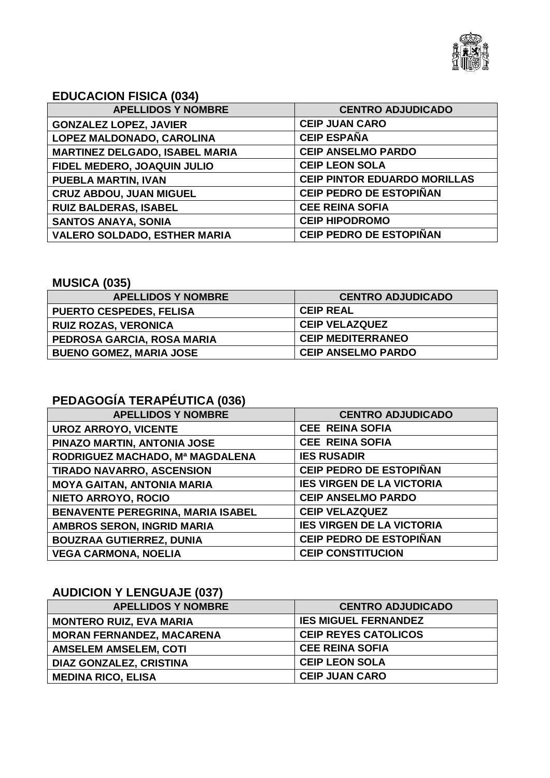

## **EDUCACION FISICA (034)**

| <b>APELLIDOS Y NOMBRE</b>             | <b>CENTRO ADJUDICADO</b>            |
|---------------------------------------|-------------------------------------|
| <b>GONZALEZ LOPEZ, JAVIER</b>         | <b>CEIP JUAN CARO</b>               |
| LOPEZ MALDONADO, CAROLINA             | <b>CEIP ESPAÑA</b>                  |
| <b>MARTINEZ DELGADO, ISABEL MARIA</b> | <b>CEIP ANSELMO PARDO</b>           |
| FIDEL MEDERO, JOAQUIN JULIO           | <b>CEIP LEON SOLA</b>               |
| <b>PUEBLA MARTIN, IVAN</b>            | <b>CEIP PINTOR EDUARDO MORILLAS</b> |
| <b>CRUZ ABDOU, JUAN MIGUEL</b>        | <b>CEIP PEDRO DE ESTOPIÑAN</b>      |
| <b>RUIZ BALDERAS, ISABEL</b>          | <b>CEE REINA SOFIA</b>              |
| <b>SANTOS ANAYA, SONIA</b>            | <b>CEIP HIPODROMO</b>               |
| <b>VALERO SOLDADO, ESTHER MARIA</b>   | <b>CEIP PEDRO DE ESTOPIÑAN</b>      |

## **MUSICA (035)**

| <b>APELLIDOS Y NOMBRE</b>      | <b>CENTRO ADJUDICADO</b>  |
|--------------------------------|---------------------------|
| <b>PUERTO CESPEDES, FELISA</b> | <b>CEIP REAL</b>          |
| <b>RUIZ ROZAS, VERONICA</b>    | <b>CEIP VELAZQUEZ</b>     |
| PEDROSA GARCIA, ROSA MARIA     | <b>CEIP MEDITERRANEO</b>  |
| <b>BUENO GOMEZ, MARIA JOSE</b> | <b>CEIP ANSELMO PARDO</b> |

# **PEDAGOGÍA TERAPÉUTICA (036)**

| <b>APELLIDOS Y NOMBRE</b>                | <b>CENTRO ADJUDICADO</b>         |
|------------------------------------------|----------------------------------|
| <b>UROZ ARROYO, VICENTE</b>              | <b>CEE REINA SOFIA</b>           |
| PINAZO MARTIN, ANTONIA JOSE              | <b>CEE REINA SOFIA</b>           |
| RODRIGUEZ MACHADO, Mª MAGDALENA          | <b>IES RUSADIR</b>               |
| TIRADO NAVARRO, ASCENSION                | <b>CEIP PEDRO DE ESTOPIÑAN</b>   |
| <b>MOYA GAITAN, ANTONIA MARIA</b>        | <b>IES VIRGEN DE LA VICTORIA</b> |
| NIETO ARROYO, ROCIO                      | <b>CEIP ANSELMO PARDO</b>        |
| <b>BENAVENTE PEREGRINA, MARIA ISABEL</b> | <b>CEIP VELAZQUEZ</b>            |
| <b>AMBROS SERON, INGRID MARIA</b>        | <b>IES VIRGEN DE LA VICTORIA</b> |
| <b>BOUZRAA GUTIERREZ, DUNIA</b>          | <b>CEIP PEDRO DE ESTOPIÑAN</b>   |
| <b>VEGA CARMONA, NOELIA</b>              | <b>CEIP CONSTITUCION</b>         |

# **AUDICION Y LENGUAJE (037)**

| <b>APELLIDOS Y NOMBRE</b>        | <b>CENTRO ADJUDICADO</b>    |
|----------------------------------|-----------------------------|
| <b>MONTERO RUIZ, EVA MARIA</b>   | <b>IES MIGUEL FERNANDEZ</b> |
| <b>MORAN FERNANDEZ, MACARENA</b> | <b>CEIP REYES CATOLICOS</b> |
| <b>AMSELEM AMSELEM, COTI</b>     | <b>CEE REINA SOFIA</b>      |
| <b>DIAZ GONZALEZ, CRISTINA</b>   | <b>CEIP LEON SOLA</b>       |
| <b>MEDINA RICO, ELISA</b>        | <b>CEIP JUAN CARO</b>       |